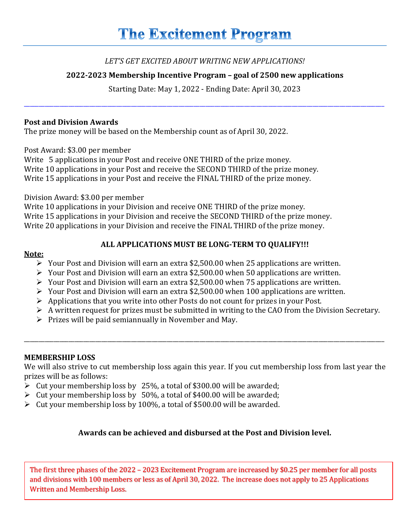## *LET'S GET EXCITED ABOUT WRITING NEW APPLICATIONS!*

# **2022-2023 Membership Incentive Program – goal of 2500 new applications**

Starting Date: May 1, 2022 - Ending Date: April 30, 2023

\_\_\_\_\_\_\_\_\_\_\_\_\_\_\_\_\_\_\_\_\_\_\_\_\_\_\_\_\_\_\_\_\_\_\_\_\_\_\_\_\_\_\_\_\_\_\_\_\_\_\_\_\_\_\_\_\_\_\_\_\_\_\_\_\_\_\_\_\_\_\_\_\_\_\_\_\_\_\_\_\_\_\_\_\_\_\_\_\_\_\_\_\_\_\_\_\_\_\_\_\_\_\_\_\_\_\_\_\_\_\_\_\_\_\_\_\_\_\_\_\_

### **Post and Division Awards**

The prize money will be based on the Membership count as of April 30, 2022.

Post Award: \$3.00 per member

Write 5 applications in your Post and receive ONE THIRD of the prize money. Write 10 applications in your Post and receive the SECOND THIRD of the prize money. Write 15 applications in your Post and receive the FINAL THIRD of the prize money.

Division Award: \$3.00 per member

Write 10 applications in your Division and receive ONE THIRD of the prize money. Write 15 applications in your Division and receive the SECOND THIRD of the prize money. Write 20 applications in your Division and receive the FINAL THIRD of the prize money.

### **Note:**

## **ALL APPLICATIONS MUST BE LONG-TERM TO QUALIFY!!!**

- $\triangleright$  Your Post and Division will earn an extra \$2,500.00 when 25 applications are written.
- $\triangleright$  Your Post and Division will earn an extra \$2,500.00 when 50 applications are written.
- $\triangleright$  Your Post and Division will earn an extra \$2,500.00 when 75 applications are written.
- Your Post and Division will earn an extra \$2,500.00 when 100 applications are written.
- $\triangleright$  Applications that you write into other Posts do not count for prizes in your Post.
- $\triangleright$  A written request for prizes must be submitted in writing to the CAO from the Division Secretary.
- $\triangleright$  Prizes will be paid semiannually in November and May.

# **MEMBERSHIP LOSS**

We will also strive to cut membership loss again this year. If you cut membership loss from last year the prizes will be as follows:

\_\_\_\_\_\_\_\_\_\_\_\_\_\_\_\_\_\_\_\_\_\_\_\_\_\_\_\_\_\_\_\_\_\_\_\_\_\_\_\_\_\_\_\_\_\_\_\_\_\_\_\_\_\_\_\_\_\_\_\_\_\_\_\_\_\_\_\_\_\_\_\_\_\_\_\_\_\_\_\_\_\_\_\_\_\_\_\_\_\_\_\_\_\_\_\_\_\_\_\_\_\_\_\_\_\_\_\_\_\_\_\_\_\_\_\_\_\_\_\_\_

- $\triangleright$  Cut your membership loss by 25%, a total of \$300.00 will be awarded;
- $\triangleright$  Cut your membership loss by 50%, a total of \$400.00 will be awarded;
- $\triangleright$  Cut your membership loss by 100%, a total of \$500.00 will be awarded.

# **Awards can be achieved and disbursed at the Post and Division level.**

The first three phases of the 2022 – 2023 Excitement Program are increased by \$0.25 per member for all posts and divisions with 100 members or less as of April 30, 2022. The increase does not apply to 25 Applications Written and Membership Loss.